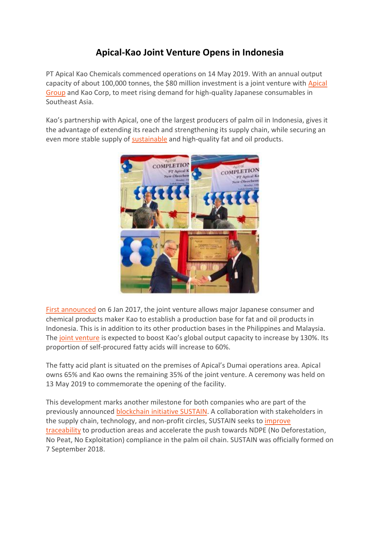## **Apical-Kao Joint Venture Opens in Indonesia**

PT Apical Kao Chemicals commenced operations on 14 May 2019. With an annual output capacity of about 100,000 tonnes, the \$80 million investment is a joint venture with [Apical](https://www.apicalgroup.com/) [Group](https://www.apicalgroup.com/) and Kao Corp, to meet rising demand for high-quality Japanese consumables in Southeast Asia.

Kao's partnership with Apical, one of the largest producers of palm oil in Indonesia, gives it the advantage of extending its reach and strengthening its supply chain, while securing an even more stable supply of [sustainable](https://www.apicalgroup.com/sustainability/traceability/) and high-quality fat and oil products.



First [announced](https://www.foodingredientsfirst.com/news/Kao-and-Apical-Group-Establish-JV-for-Manufacturing-Fatty-Acids-in-Indonesia) on 6 Jan 2017, the joint venture allows major Japanese consumer and chemical products maker Kao to establish a production base for fat and oil products in Indonesia. This is in addition to its other production bases in the Philippines and Malaysia. The joint [venture](https://asia.nikkei.com/Business/Kao-building-shampoo-ingredient-plant-in-Indonesia) is expected to boost Kao's global output capacity to increase by 130%. Its proportion of self-procured fatty acids will increase to 60%.

The fatty acid plant is situated on the premises of Apical's Dumai operations area. Apical owns 65% and Kao owns the remaining 35% of the joint venture. A ceremony was held on 13 May 2019 to commemorate the opening of the facility.

This development marks another milestone for both companies who are part of the previously announced [blockchain](https://www.inside-rge.com/apical-puts-digital-foot-forward/) initiative SUSTAIN. A collaboration with stakeholders in the supply chain, technology, and non-profit circles, SUSTAIN seeks to *[improve](https://asia.nikkei.com/Business/Markets/Commodities/Asia-cleans-up-commodities-industry-with-transparent-trading)* [traceability](https://asia.nikkei.com/Business/Markets/Commodities/Asia-cleans-up-commodities-industry-with-transparent-trading) to production areas and accelerate the push towards NDPE (No Deforestation, No Peat, No Exploitation) compliance in the palm oil chain. SUSTAIN was officially formed on 7 September 2018.